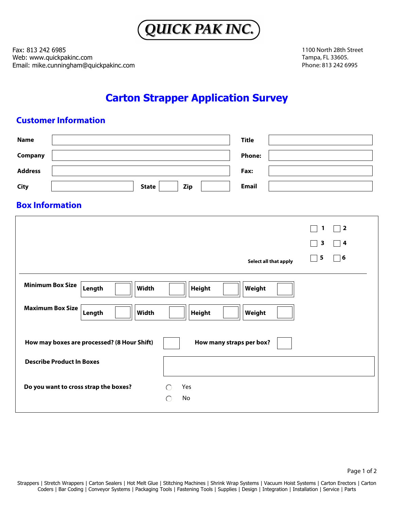

Fax: 813 242 6985 Web: www.quickpakinc.com Email: mike.cunningham@quickpakinc.com 1100 North 28th Street Tampa, FL 33605. Phone: 813 242 6995

## **Carton Strapper Application Survey**

## **Customer Information**

| <b>Name</b>                                                             | <b>Title</b>                                                 |  |  |
|-------------------------------------------------------------------------|--------------------------------------------------------------|--|--|
| Company                                                                 | <b>Phone:</b>                                                |  |  |
| <b>Address</b>                                                          | Fax:                                                         |  |  |
| <b>State</b><br><b>City</b><br><b>Zip</b>                               | <b>Email</b>                                                 |  |  |
| <b>Box Information</b>                                                  |                                                              |  |  |
|                                                                         | $\sqsupset$ 2<br>1                                           |  |  |
|                                                                         | $\overline{\mathbf{3}}$<br>$\bigcap$ 4                       |  |  |
|                                                                         | $\neg$ 6<br>$\overline{\mathbf{5}}$<br>Select all that apply |  |  |
| <b>Minimum Box Size</b><br>Length<br><b>Width</b><br><b>Height</b>      | Weight                                                       |  |  |
| <b>Maximum Box Size</b><br>Length<br><b>Width</b><br><b>Height</b>      | Weight                                                       |  |  |
| How may boxes are processed? (8 Hour Shift)<br>How many straps per box? |                                                              |  |  |
| <b>Describe Product In Boxes</b>                                        |                                                              |  |  |
| Do you want to cross strap the boxes?<br>Yes<br>No<br>$\subset$         |                                                              |  |  |